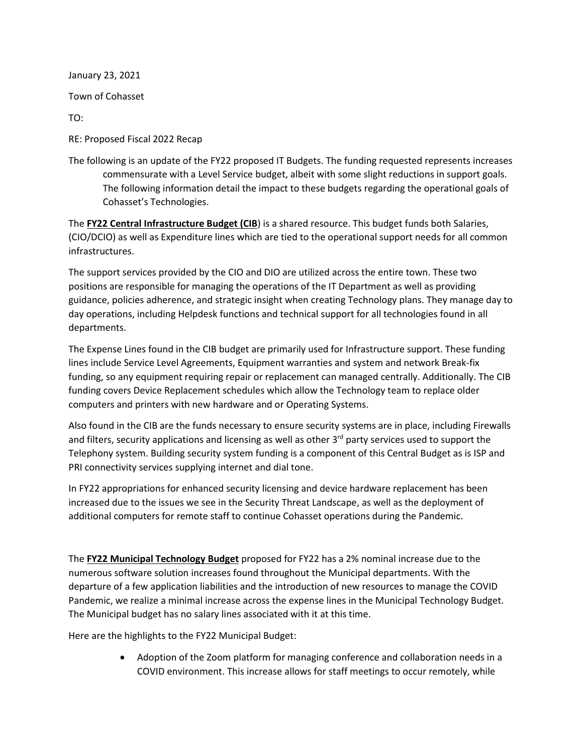January 23, 2021

Town of Cohasset

TO:

RE: Proposed Fiscal 2022 Recap

The following is an update of the FY22 proposed IT Budgets. The funding requested represents increases commensurate with a Level Service budget, albeit with some slight reductions in support goals. The following information detail the impact to these budgets regarding the operational goals of Cohasset's Technologies.

The **FY22 Central Infrastructure Budget (CIB**) is a shared resource. This budget funds both Salaries, (CIO/DCIO) as well as Expenditure lines which are tied to the operational support needs for all common infrastructures.

The support services provided by the CIO and DIO are utilized across the entire town. These two positions are responsible for managing the operations of the IT Department as well as providing guidance, policies adherence, and strategic insight when creating Technology plans. They manage day to day operations, including Helpdesk functions and technical support for all technologies found in all departments.

The Expense Lines found in the CIB budget are primarily used for Infrastructure support. These funding lines include Service Level Agreements, Equipment warranties and system and network Break-fix funding, so any equipment requiring repair or replacement can managed centrally. Additionally. The CIB funding covers Device Replacement schedules which allow the Technology team to replace older computers and printers with new hardware and or Operating Systems.

Also found in the CIB are the funds necessary to ensure security systems are in place, including Firewalls and filters, security applications and licensing as well as other 3<sup>rd</sup> party services used to support the Telephony system. Building security system funding is a component of this Central Budget as is ISP and PRI connectivity services supplying internet and dial tone.

In FY22 appropriations for enhanced security licensing and device hardware replacement has been increased due to the issues we see in the Security Threat Landscape, as well as the deployment of additional computers for remote staff to continue Cohasset operations during the Pandemic.

The **FY22 Municipal Technology Budget** proposed for FY22 has a 2% nominal increase due to the numerous software solution increases found throughout the Municipal departments. With the departure of a few application liabilities and the introduction of new resources to manage the COVID Pandemic, we realize a minimal increase across the expense lines in the Municipal Technology Budget. The Municipal budget has no salary lines associated with it at this time.

Here are the highlights to the FY22 Municipal Budget:

• Adoption of the Zoom platform for managing conference and collaboration needs in a COVID environment. This increase allows for staff meetings to occur remotely, while